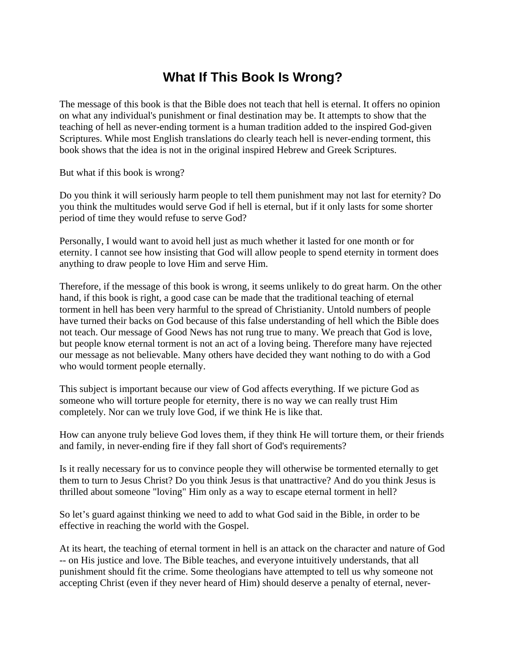## **What If This Book Is Wrong?**

The message of this book is that the Bible does not teach that hell is eternal. It offers no opinion on what any individual's punishment or final destination may be. It attempts to show that the teaching of hell as never-ending torment is a human tradition added to the inspired God-given Scriptures. While most English translations do clearly teach hell is never-ending torment, this book shows that the idea is not in the original inspired Hebrew and Greek Scriptures.

But what if this book is wrong?

Do you think it will seriously harm people to tell them punishment may not last for eternity? Do you think the multitudes would serve God if hell is eternal, but if it only lasts for some shorter period of time they would refuse to serve God?

Personally, I would want to avoid hell just as much whether it lasted for one month or for eternity. I cannot see how insisting that God will allow people to spend eternity in torment does anything to draw people to love Him and serve Him.

Therefore, if the message of this book is wrong, it seems unlikely to do great harm. On the other hand, if this book is right, a good case can be made that the traditional teaching of eternal torment in hell has been very harmful to the spread of Christianity. Untold numbers of people have turned their backs on God because of this false understanding of hell which the Bible does not teach. Our message of Good News has not rung true to many. We preach that God is love, but people know eternal torment is not an act of a loving being. Therefore many have rejected our message as not believable. Many others have decided they want nothing to do with a God who would torment people eternally.

This subject is important because our view of God affects everything. If we picture God as someone who will torture people for eternity, there is no way we can really trust Him completely. Nor can we truly love God, if we think He is like that.

How can anyone truly believe God loves them, if they think He will torture them, or their friends and family, in never-ending fire if they fall short of God's requirements?

Is it really necessary for us to convince people they will otherwise be tormented eternally to get them to turn to Jesus Christ? Do you think Jesus is that unattractive? And do you think Jesus is thrilled about someone "loving" Him only as a way to escape eternal torment in hell?

So let's guard against thinking we need to add to what God said in the Bible, in order to be effective in reaching the world with the Gospel.

At its heart, the teaching of eternal torment in hell is an attack on the character and nature of God -- on His justice and love. The Bible teaches, and everyone intuitively understands, that all punishment should fit the crime. Some theologians have attempted to tell us why someone not accepting Christ (even if they never heard of Him) should deserve a penalty of eternal, never